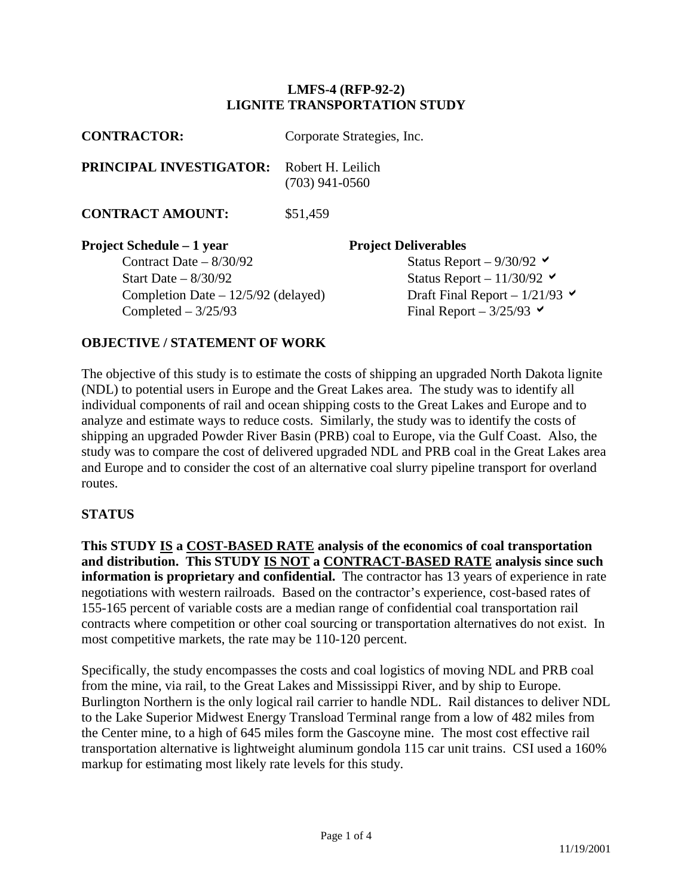## **LMFS-4 (RFP-92-2) LIGNITE TRANSPORTATION STUDY**

| <b>CONTRACTOR:</b>                                                                                                                                    | Corporate Strategies, Inc.                                                                                                                                                |  |  |  |
|-------------------------------------------------------------------------------------------------------------------------------------------------------|---------------------------------------------------------------------------------------------------------------------------------------------------------------------------|--|--|--|
| <b>PRINCIPAL INVESTIGATOR:</b>                                                                                                                        | Robert H. Leilich<br>$(703)$ 941-0560                                                                                                                                     |  |  |  |
| <b>CONTRACT AMOUNT:</b>                                                                                                                               | \$51,459                                                                                                                                                                  |  |  |  |
| <b>Project Schedule – 1 year</b><br>Contract Date $-8/30/92$<br>Start Date $-8/30/92$<br>Completion Date $-12/5/92$ (delayed)<br>Completed $-3/25/93$ | <b>Project Deliverables</b><br>Status Report $-9/30/92$<br>Status Report - $11/30/92$<br>Draft Final Report – $1/21/93$<br>Final Report – $3/25/93$ $\blacktriangleright$ |  |  |  |

## **OBJECTIVE / STATEMENT OF WORK**

The objective of this study is to estimate the costs of shipping an upgraded North Dakota lignite (NDL) to potential users in Europe and the Great Lakes area. The study was to identify all individual components of rail and ocean shipping costs to the Great Lakes and Europe and to analyze and estimate ways to reduce costs. Similarly, the study was to identify the costs of shipping an upgraded Powder River Basin (PRB) coal to Europe, via the Gulf Coast. Also, the study was to compare the cost of delivered upgraded NDL and PRB coal in the Great Lakes area and Europe and to consider the cost of an alternative coal slurry pipeline transport for overland routes.

### **STATUS**

**This STUDY IS a COST-BASED RATE analysis of the economics of coal transportation and distribution. This STUDY IS NOT a CONTRACT-BASED RATE analysis since such information is proprietary and confidential.** The contractor has 13 years of experience in rate negotiations with western railroads. Based on the contractor's experience, cost-based rates of 155-165 percent of variable costs are a median range of confidential coal transportation rail contracts where competition or other coal sourcing or transportation alternatives do not exist. In most competitive markets, the rate may be 110-120 percent.

Specifically, the study encompasses the costs and coal logistics of moving NDL and PRB coal from the mine, via rail, to the Great Lakes and Mississippi River, and by ship to Europe. Burlington Northern is the only logical rail carrier to handle NDL. Rail distances to deliver NDL to the Lake Superior Midwest Energy Transload Terminal range from a low of 482 miles from the Center mine, to a high of 645 miles form the Gascoyne mine. The most cost effective rail transportation alternative is lightweight aluminum gondola 115 car unit trains. CSI used a 160% markup for estimating most likely rate levels for this study.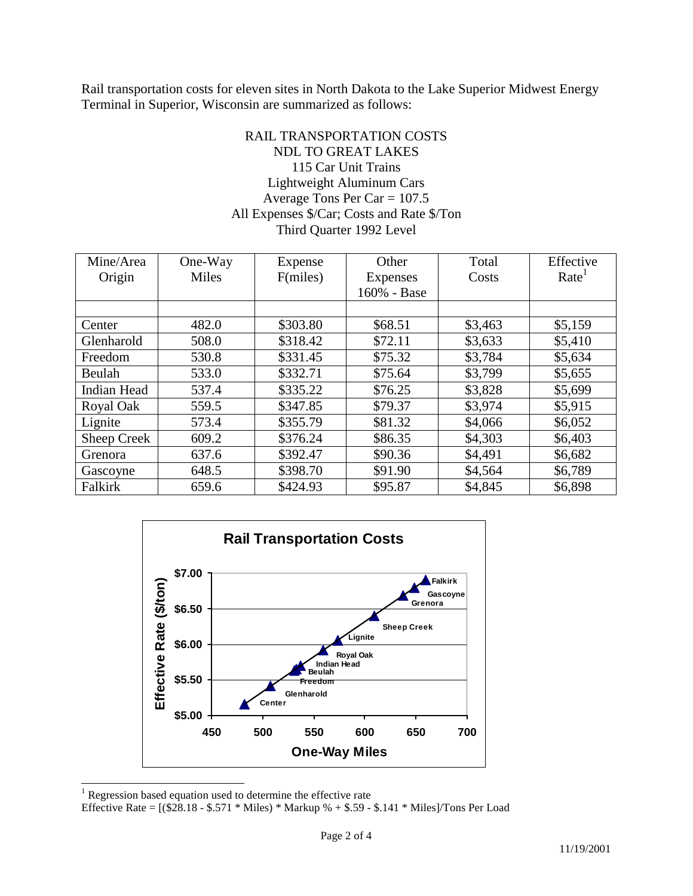Rail transportation costs for eleven sites in North Dakota to the Lake Superior Midwest Energy Terminal in Superior, Wisconsin are summarized as follows:

# RAIL TRANSPORTATION COSTS NDL TO GREAT LAKES 115 Car Unit Trains Lightweight Aluminum Cars Average Tons Per Car = 107.5 All Expenses \$/Car; Costs and Rate \$/Ton Third Quarter 1992 Level

| Mine/Area   | One-Way | Expense  | Other           | Total   | Effective         |
|-------------|---------|----------|-----------------|---------|-------------------|
| Origin      | Miles   | F(miles) | <b>Expenses</b> | Costs   | Rate <sup>1</sup> |
|             |         |          | 160% - Base     |         |                   |
|             |         |          |                 |         |                   |
| Center      | 482.0   | \$303.80 | \$68.51         | \$3,463 | \$5,159           |
| Glenharold  | 508.0   | \$318.42 | \$72.11         | \$3,633 | \$5,410           |
| Freedom     | 530.8   | \$331.45 | \$75.32         | \$3,784 | \$5,634           |
| Beulah      | 533.0   | \$332.71 | \$75.64         | \$3,799 | \$5,655           |
| Indian Head | 537.4   | \$335.22 | \$76.25         | \$3,828 | \$5,699           |
| Royal Oak   | 559.5   | \$347.85 | \$79.37         | \$3,974 | \$5,915           |
| Lignite     | 573.4   | \$355.79 | \$81.32         | \$4,066 | \$6,052           |
| Sheep Creek | 609.2   | \$376.24 | \$86.35         | \$4,303 | \$6,403           |
| Grenora     | 637.6   | \$392.47 | \$90.36         | \$4,491 | \$6,682           |
| Gascoyne    | 648.5   | \$398.70 | \$91.90         | \$4,564 | \$6,789           |
| Falkirk     | 659.6   | \$424.93 | \$95.87         | \$4,845 | \$6,898           |



<sup>&</sup>lt;sup>1</sup> Regression based equation used to determine the effective rate

Effective Rate = [(\$28.18 - \$.571 \* Miles) \* Markup % + \$.59 - \$.141 \* Miles]/Tons Per Load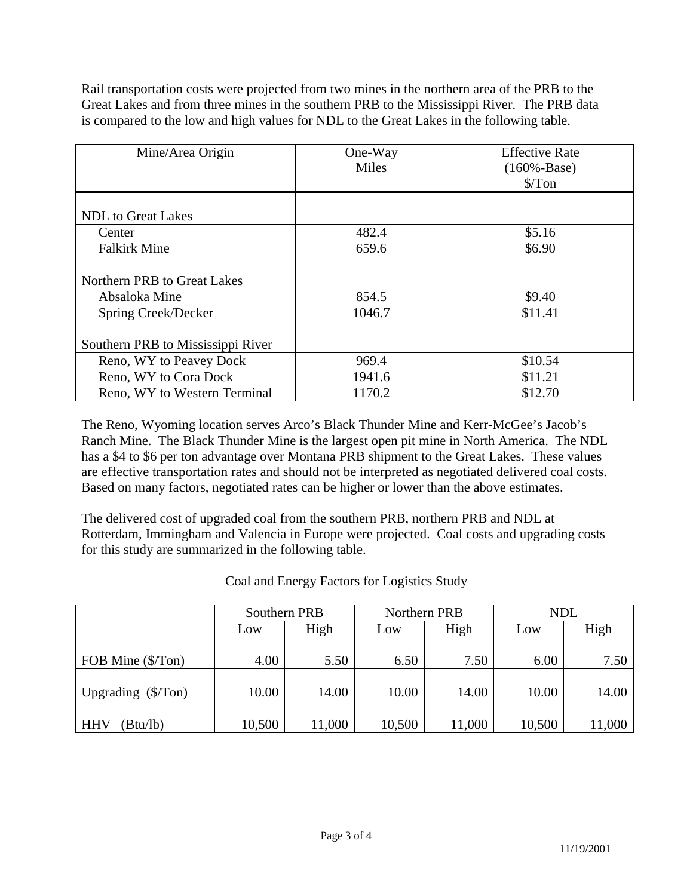Rail transportation costs were projected from two mines in the northern area of the PRB to the Great Lakes and from three mines in the southern PRB to the Mississippi River. The PRB data is compared to the low and high values for NDL to the Great Lakes in the following table.

| Mine/Area Origin                  | One-Way<br><b>Miles</b> | <b>Effective Rate</b><br>$(160% - Base)$<br>$\sqrt{\pi}$ on |
|-----------------------------------|-------------------------|-------------------------------------------------------------|
|                                   |                         |                                                             |
| <b>NDL</b> to Great Lakes         |                         |                                                             |
| Center                            | 482.4                   | \$5.16                                                      |
| <b>Falkirk Mine</b>               | 659.6                   | \$6.90                                                      |
| Northern PRB to Great Lakes       |                         |                                                             |
| Absaloka Mine                     | 854.5                   | \$9.40                                                      |
| Spring Creek/Decker               | 1046.7                  | \$11.41                                                     |
| Southern PRB to Mississippi River |                         |                                                             |
| Reno, WY to Peavey Dock           | 969.4                   | \$10.54                                                     |
| Reno, WY to Cora Dock             | 1941.6                  | \$11.21                                                     |
| Reno, WY to Western Terminal      | 1170.2                  | \$12.70                                                     |

The Reno, Wyoming location serves Arco's Black Thunder Mine and Kerr-McGee's Jacob's Ranch Mine. The Black Thunder Mine is the largest open pit mine in North America. The NDL has a \$4 to \$6 per ton advantage over Montana PRB shipment to the Great Lakes. These values are effective transportation rates and should not be interpreted as negotiated delivered coal costs. Based on many factors, negotiated rates can be higher or lower than the above estimates.

The delivered cost of upgraded coal from the southern PRB, northern PRB and NDL at Rotterdam, Immingham and Valencia in Europe were projected. Coal costs and upgrading costs for this study are summarized in the following table.

|                                    | Southern PRB |        | Northern PRB |        | NDL    |       |
|------------------------------------|--------------|--------|--------------|--------|--------|-------|
|                                    | Low          | High   | Low          | High   | Low    | High  |
|                                    |              |        |              |        |        |       |
| FOB Mine (\$/Ton)                  | 4.00         | 5.50   | 6.50         | 7.50   | 6.00   | 7.50  |
|                                    |              |        |              |        |        |       |
| Upgrading $(\frac{5}{\text{Top}})$ | 10.00        | 14.00  | 10.00        | 14.00  | 10.00  | 14.00 |
|                                    |              |        |              |        |        |       |
| <b>HHV</b><br>(Btu/lb)             | 10,500       | 11,000 | 10,500       | 11,000 | 10,500 | 1,000 |

Coal and Energy Factors for Logistics Study